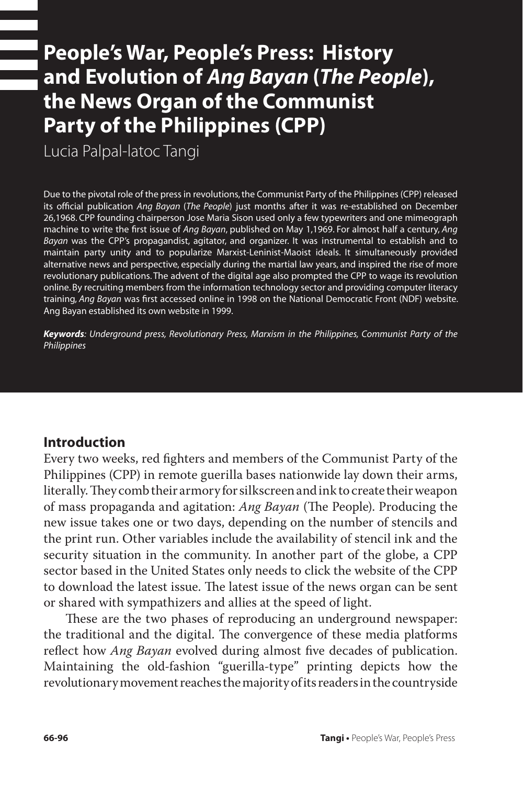# **People's War, People's Press: History and Evolution of** *Ang Bayan* **(***The People***), the News Organ of the Communist Party of the Philippines (CPP)**

Lucia Palpal-latoc Tangi

Due to the pivotal role of the press in revolutions, the Communist Party of the Philippines (CPP) released its official publication *Ang Bayan* (*The People*) just months after it was re-established on December 26,1968. CPP founding chairperson Jose Maria Sison used only a few typewriters and one mimeograph machine to write the first issue of *Ang Bayan*, published on May 1,1969. For almost half a century, *Ang Bayan* was the CPP's propagandist, agitator, and organizer. It was instrumental to establish and to maintain party unity and to popularize Marxist-Leninist-Maoist ideals. It simultaneously provided alternative news and perspective, especially during the martial law years, and inspired the rise of more revolutionary publications. The advent of the digital age also prompted the CPP to wage its revolution online. By recruiting members from the information technology sector and providing computer literacy training, *Ang Bayan* was first accessed online in 1998 on the National Democratic Front (NDF) website. Ang Bayan established its own website in 1999.

*Keywords: Underground press, Revolutionary Press, Marxism in the Philippines, Communist Party of the Philippines*

## **Introduction**

Every two weeks, red fighters and members of the Communist Party of the Philippines (CPP) in remote guerilla bases nationwide lay down their arms, literally. They comb their armory for silkscreen and ink to create their weapon of mass propaganda and agitation: *Ang Bayan* (The People). Producing the new issue takes one or two days, depending on the number of stencils and the print run. Other variables include the availability of stencil ink and the security situation in the community. In another part of the globe, a CPP sector based in the United States only needs to click the website of the CPP to download the latest issue. The latest issue of the news organ can be sent or shared with sympathizers and allies at the speed of light.

These are the two phases of reproducing an underground newspaper: the traditional and the digital. The convergence of these media platforms reflect how *Ang Bayan* evolved during almost five decades of publication. Maintaining the old-fashion "guerilla-type" printing depicts how the revolutionary movement reaches the majority of its readers in the countryside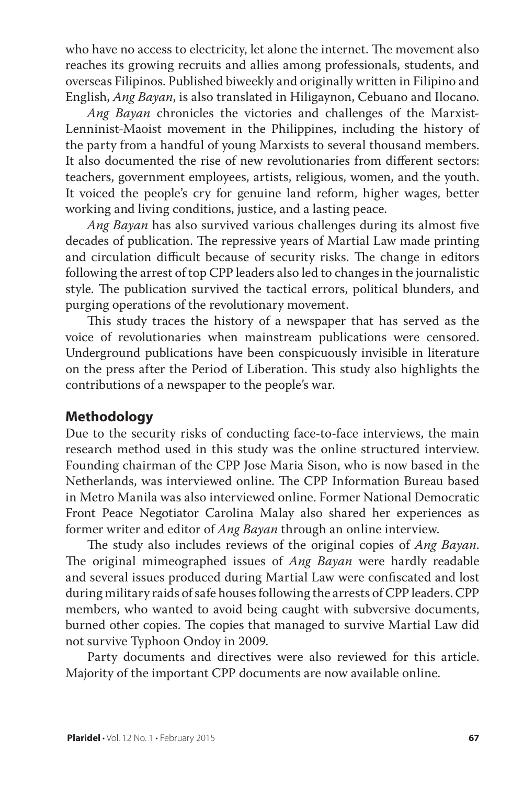who have no access to electricity, let alone the internet. The movement also reaches its growing recruits and allies among professionals, students, and overseas Filipinos. Published biweekly and originally written in Filipino and English, *Ang Bayan*, is also translated in Hiligaynon, Cebuano and Ilocano.

*Ang Bayan* chronicles the victories and challenges of the Marxist-Lenninist-Maoist movement in the Philippines, including the history of the party from a handful of young Marxists to several thousand members. It also documented the rise of new revolutionaries from different sectors: teachers, government employees, artists, religious, women, and the youth. It voiced the people's cry for genuine land reform, higher wages, better working and living conditions, justice, and a lasting peace.

*Ang Bayan* has also survived various challenges during its almost five decades of publication. The repressive years of Martial Law made printing and circulation difficult because of security risks. The change in editors following the arrest of top CPP leaders also led to changes in the journalistic style. The publication survived the tactical errors, political blunders, and purging operations of the revolutionary movement.

This study traces the history of a newspaper that has served as the voice of revolutionaries when mainstream publications were censored. Underground publications have been conspicuously invisible in literature on the press after the Period of Liberation. This study also highlights the contributions of a newspaper to the people's war.

#### **Methodology**

Due to the security risks of conducting face-to-face interviews, the main research method used in this study was the online structured interview. Founding chairman of the CPP Jose Maria Sison, who is now based in the Netherlands, was interviewed online. The CPP Information Bureau based in Metro Manila was also interviewed online. Former National Democratic Front Peace Negotiator Carolina Malay also shared her experiences as former writer and editor of *Ang Bayan* through an online interview.

The study also includes reviews of the original copies of *Ang Bayan*. The original mimeographed issues of *Ang Bayan* were hardly readable and several issues produced during Martial Law were confiscated and lost during military raids of safe houses following the arrests of CPP leaders. CPP members, who wanted to avoid being caught with subversive documents, burned other copies. The copies that managed to survive Martial Law did not survive Typhoon Ondoy in 2009.

Party documents and directives were also reviewed for this article. Majority of the important CPP documents are now available online.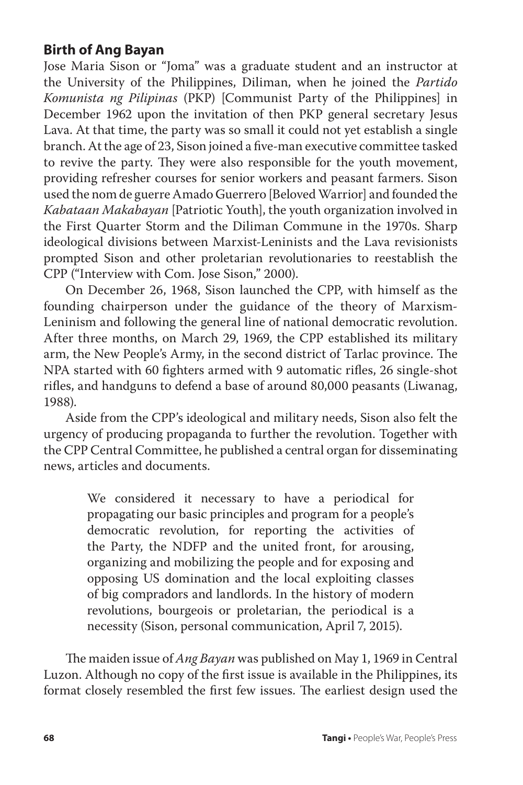## **Birth of Ang Bayan**

Jose Maria Sison or "Joma" was a graduate student and an instructor at the University of the Philippines, Diliman, when he joined the *Partido Komunista ng Pilipinas* (PKP) [Communist Party of the Philippines] in December 1962 upon the invitation of then PKP general secretary Jesus Lava. At that time, the party was so small it could not yet establish a single branch. At the age of 23, Sison joined a five-man executive committee tasked to revive the party. They were also responsible for the youth movement, providing refresher courses for senior workers and peasant farmers. Sison used the nom de guerre Amado Guerrero [Beloved Warrior] and founded the *Kabataan Makabayan* [Patriotic Youth], the youth organization involved in the First Quarter Storm and the Diliman Commune in the 1970s. Sharp ideological divisions between Marxist-Leninists and the Lava revisionists prompted Sison and other proletarian revolutionaries to reestablish the CPP ("Interview with Com. Jose Sison," 2000).

On December 26, 1968, Sison launched the CPP, with himself as the founding chairperson under the guidance of the theory of Marxism-Leninism and following the general line of national democratic revolution. After three months, on March 29, 1969, the CPP established its military arm, the New People's Army, in the second district of Tarlac province. The NPA started with 60 fighters armed with 9 automatic rifles, 26 single-shot rifles, and handguns to defend a base of around 80,000 peasants (Liwanag, 1988).

Aside from the CPP's ideological and military needs, Sison also felt the urgency of producing propaganda to further the revolution. Together with the CPP Central Committee, he published a central organ for disseminating news, articles and documents.

> We considered it necessary to have a periodical for propagating our basic principles and program for a people's democratic revolution, for reporting the activities of the Party, the NDFP and the united front, for arousing, organizing and mobilizing the people and for exposing and opposing US domination and the local exploiting classes of big compradors and landlords. In the history of modern revolutions, bourgeois or proletarian, the periodical is a necessity (Sison, personal communication, April 7, 2015).

The maiden issue of *Ang Bayan* was published on May 1, 1969 in Central Luzon. Although no copy of the first issue is available in the Philippines, its format closely resembled the first few issues. The earliest design used the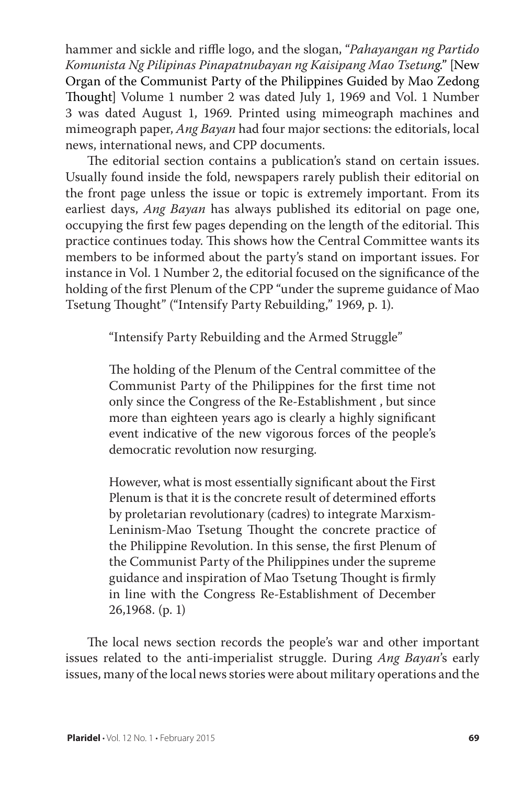hammer and sickle and riffle logo, and the slogan, "*Pahayangan ng Partido Komunista Ng Pilipinas Pinapatnubayan ng Kaisipang Mao Tsetung*." [New Organ of the Communist Party of the Philippines Guided by Mao Zedong Thought] Volume 1 number 2 was dated July 1, 1969 and Vol. 1 Number 3 was dated August 1, 1969. Printed using mimeograph machines and mimeograph paper, *Ang Bayan* had four major sections: the editorials, local news, international news, and CPP documents.

The editorial section contains a publication's stand on certain issues. Usually found inside the fold, newspapers rarely publish their editorial on the front page unless the issue or topic is extremely important. From its earliest days, *Ang Bayan* has always published its editorial on page one, occupying the first few pages depending on the length of the editorial. This practice continues today. This shows how the Central Committee wants its members to be informed about the party's stand on important issues. For instance in Vol. 1 Number 2, the editorial focused on the significance of the holding of the first Plenum of the CPP "under the supreme guidance of Mao Tsetung Thought" ("Intensify Party Rebuilding," 1969, p. 1).

"Intensify Party Rebuilding and the Armed Struggle"

The holding of the Plenum of the Central committee of the Communist Party of the Philippines for the first time not only since the Congress of the Re-Establishment , but since more than eighteen years ago is clearly a highly significant event indicative of the new vigorous forces of the people's democratic revolution now resurging.

However, what is most essentially significant about the First Plenum is that it is the concrete result of determined efforts by proletarian revolutionary (cadres) to integrate Marxism-Leninism-Mao Tsetung Thought the concrete practice of the Philippine Revolution. In this sense, the first Plenum of the Communist Party of the Philippines under the supreme guidance and inspiration of Mao Tsetung Thought is firmly in line with the Congress Re-Establishment of December 26,1968. (p. 1)

The local news section records the people's war and other important issues related to the anti-imperialist struggle. During *Ang Bayan*'s early issues, many of the local news stories were about military operations and the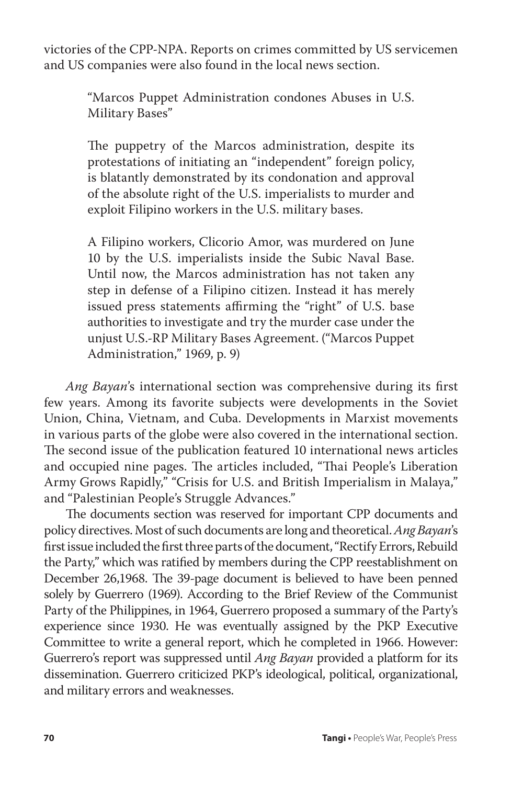victories of the CPP-NPA. Reports on crimes committed by US servicemen and US companies were also found in the local news section.

> "Marcos Puppet Administration condones Abuses in U.S. Military Bases"

> The puppetry of the Marcos administration, despite its protestations of initiating an "independent" foreign policy, is blatantly demonstrated by its condonation and approval of the absolute right of the U.S. imperialists to murder and exploit Filipino workers in the U.S. military bases.

> A Filipino workers, Clicorio Amor, was murdered on June 10 by the U.S. imperialists inside the Subic Naval Base. Until now, the Marcos administration has not taken any step in defense of a Filipino citizen. Instead it has merely issued press statements affirming the "right" of U.S. base authorities to investigate and try the murder case under the unjust U.S.-RP Military Bases Agreement. ("Marcos Puppet Administration," 1969, p. 9)

*Ang Bayan*'s international section was comprehensive during its first few years. Among its favorite subjects were developments in the Soviet Union, China, Vietnam, and Cuba. Developments in Marxist movements in various parts of the globe were also covered in the international section. The second issue of the publication featured 10 international news articles and occupied nine pages. The articles included, "Thai People's Liberation Army Grows Rapidly," "Crisis for U.S. and British Imperialism in Malaya," and "Palestinian People's Struggle Advances."

The documents section was reserved for important CPP documents and policy directives. Most of such documents are long and theoretical. *Ang Bayan*'s first issue included the first three parts of the document, "Rectify Errors, Rebuild the Party," which was ratified by members during the CPP reestablishment on December 26,1968. The 39-page document is believed to have been penned solely by Guerrero (1969). According to the Brief Review of the Communist Party of the Philippines, in 1964, Guerrero proposed a summary of the Party's experience since 1930. He was eventually assigned by the PKP Executive Committee to write a general report, which he completed in 1966. However: Guerrero's report was suppressed until *Ang Bayan* provided a platform for its dissemination. Guerrero criticized PKP's ideological, political, organizational, and military errors and weaknesses.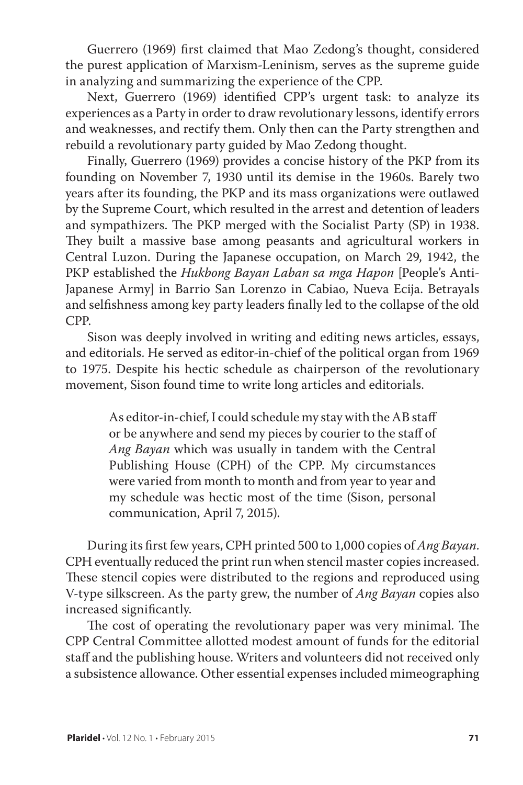Guerrero (1969) first claimed that Mao Zedong's thought, considered the purest application of Marxism-Leninism, serves as the supreme guide in analyzing and summarizing the experience of the CPP.

Next, Guerrero (1969) identified CPP's urgent task: to analyze its experiences as a Party in order to draw revolutionary lessons, identify errors and weaknesses, and rectify them. Only then can the Party strengthen and rebuild a revolutionary party guided by Mao Zedong thought.

Finally, Guerrero (1969) provides a concise history of the PKP from its founding on November 7, 1930 until its demise in the 1960s. Barely two years after its founding, the PKP and its mass organizations were outlawed by the Supreme Court, which resulted in the arrest and detention of leaders and sympathizers. The PKP merged with the Socialist Party (SP) in 1938. They built a massive base among peasants and agricultural workers in Central Luzon. During the Japanese occupation, on March 29, 1942, the PKP established the *Hukbong Bayan Laban sa mga Hapon* [People's Anti-Japanese Army] in Barrio San Lorenzo in Cabiao, Nueva Ecija. Betrayals and selfishness among key party leaders finally led to the collapse of the old CPP.

Sison was deeply involved in writing and editing news articles, essays, and editorials. He served as editor-in-chief of the political organ from 1969 to 1975. Despite his hectic schedule as chairperson of the revolutionary movement, Sison found time to write long articles and editorials.

> As editor-in-chief, I could schedule my stay with the AB staff or be anywhere and send my pieces by courier to the staff of *Ang Bayan* which was usually in tandem with the Central Publishing House (CPH) of the CPP. My circumstances were varied from month to month and from year to year and my schedule was hectic most of the time (Sison, personal communication, April 7, 2015).

During its first few years, CPH printed 500 to 1,000 copies of *Ang Bayan*. CPH eventually reduced the print run when stencil master copies increased. These stencil copies were distributed to the regions and reproduced using V-type silkscreen. As the party grew, the number of *Ang Bayan* copies also increased significantly.

The cost of operating the revolutionary paper was very minimal. The CPP Central Committee allotted modest amount of funds for the editorial staff and the publishing house. Writers and volunteers did not received only a subsistence allowance. Other essential expenses included mimeographing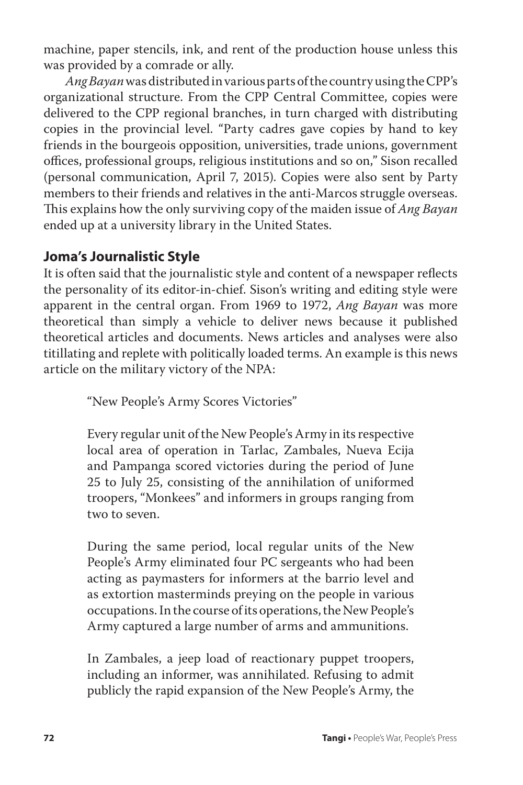machine, paper stencils, ink, and rent of the production house unless this was provided by a comrade or ally.

*Ang Bayan* was distributed in various parts of the country using the CPP's organizational structure. From the CPP Central Committee, copies were delivered to the CPP regional branches, in turn charged with distributing copies in the provincial level. "Party cadres gave copies by hand to key friends in the bourgeois opposition, universities, trade unions, government offices, professional groups, religious institutions and so on," Sison recalled (personal communication, April 7, 2015). Copies were also sent by Party members to their friends and relatives in the anti-Marcos struggle overseas. This explains how the only surviving copy of the maiden issue of *Ang Bayan* ended up at a university library in the United States.

## **Joma's Journalistic Style**

It is often said that the journalistic style and content of a newspaper reflects the personality of its editor-in-chief. Sison's writing and editing style were apparent in the central organ. From 1969 to 1972, *Ang Bayan* was more theoretical than simply a vehicle to deliver news because it published theoretical articles and documents. News articles and analyses were also titillating and replete with politically loaded terms. An example is this news article on the military victory of the NPA:

"New People's Army Scores Victories"

Every regular unit of the New People's Army in its respective local area of operation in Tarlac, Zambales, Nueva Ecija and Pampanga scored victories during the period of June 25 to July 25, consisting of the annihilation of uniformed troopers, "Monkees" and informers in groups ranging from two to seven.

During the same period, local regular units of the New People's Army eliminated four PC sergeants who had been acting as paymasters for informers at the barrio level and as extortion masterminds preying on the people in various occupations. In the course of its operations, the New People's Army captured a large number of arms and ammunitions.

In Zambales, a jeep load of reactionary puppet troopers, including an informer, was annihilated. Refusing to admit publicly the rapid expansion of the New People's Army, the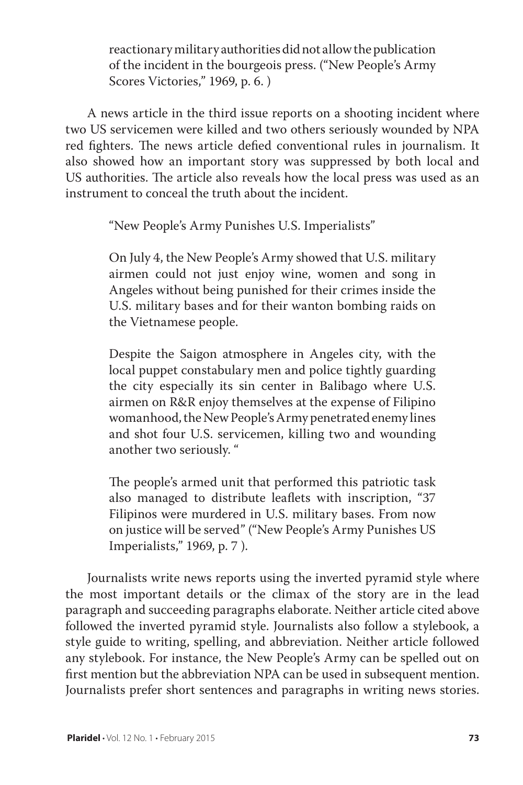reactionary military authorities did not allow the publication of the incident in the bourgeois press. ("New People's Army Scores Victories," 1969, p. 6. )

A news article in the third issue reports on a shooting incident where two US servicemen were killed and two others seriously wounded by NPA red fighters. The news article defied conventional rules in journalism. It also showed how an important story was suppressed by both local and US authorities. The article also reveals how the local press was used as an instrument to conceal the truth about the incident.

"New People's Army Punishes U.S. Imperialists"

On July 4, the New People's Army showed that U.S. military airmen could not just enjoy wine, women and song in Angeles without being punished for their crimes inside the U.S. military bases and for their wanton bombing raids on the Vietnamese people.

Despite the Saigon atmosphere in Angeles city, with the local puppet constabulary men and police tightly guarding the city especially its sin center in Balibago where U.S. airmen on R&R enjoy themselves at the expense of Filipino womanhood, the New People's Army penetrated enemy lines and shot four U.S. servicemen, killing two and wounding another two seriously. "

The people's armed unit that performed this patriotic task also managed to distribute leaflets with inscription, "37 Filipinos were murdered in U.S. military bases. From now on justice will be served" ("New People's Army Punishes US Imperialists," 1969, p. 7 ).

Journalists write news reports using the inverted pyramid style where the most important details or the climax of the story are in the lead paragraph and succeeding paragraphs elaborate. Neither article cited above followed the inverted pyramid style. Journalists also follow a stylebook, a style guide to writing, spelling, and abbreviation. Neither article followed any stylebook. For instance, the New People's Army can be spelled out on first mention but the abbreviation NPA can be used in subsequent mention. Journalists prefer short sentences and paragraphs in writing news stories.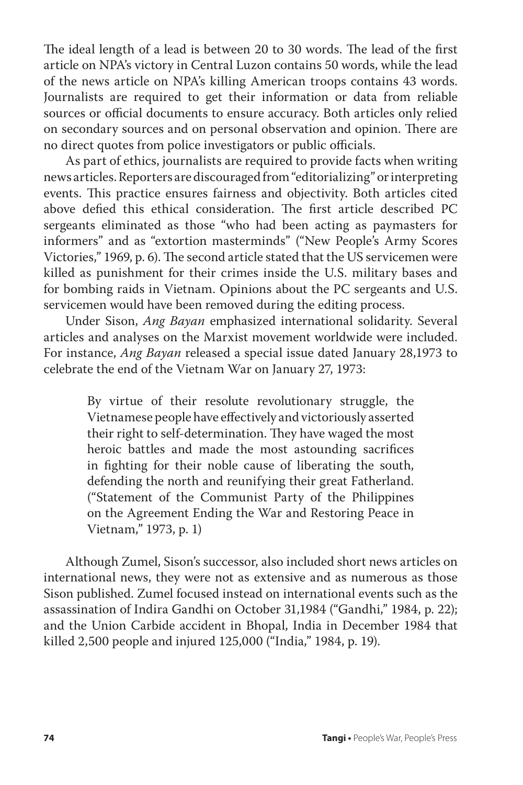The ideal length of a lead is between 20 to 30 words. The lead of the first article on NPA's victory in Central Luzon contains 50 words, while the lead of the news article on NPA's killing American troops contains 43 words. Journalists are required to get their information or data from reliable sources or official documents to ensure accuracy. Both articles only relied on secondary sources and on personal observation and opinion. There are no direct quotes from police investigators or public officials.

As part of ethics, journalists are required to provide facts when writing news articles. Reporters are discouraged from "editorializing" or interpreting events. This practice ensures fairness and objectivity. Both articles cited above defied this ethical consideration. The first article described PC sergeants eliminated as those "who had been acting as paymasters for informers" and as "extortion masterminds" ("New People's Army Scores Victories," 1969, p. 6). The second article stated that the US servicemen were killed as punishment for their crimes inside the U.S. military bases and for bombing raids in Vietnam. Opinions about the PC sergeants and U.S. servicemen would have been removed during the editing process.

Under Sison, *Ang Bayan* emphasized international solidarity. Several articles and analyses on the Marxist movement worldwide were included. For instance, *Ang Bayan* released a special issue dated January 28,1973 to celebrate the end of the Vietnam War on January 27, 1973:

> By virtue of their resolute revolutionary struggle, the Vietnamese people have effectively and victoriously asserted their right to self-determination. They have waged the most heroic battles and made the most astounding sacrifices in fighting for their noble cause of liberating the south, defending the north and reunifying their great Fatherland. ("Statement of the Communist Party of the Philippines on the Agreement Ending the War and Restoring Peace in Vietnam," 1973, p. 1)

Although Zumel, Sison's successor, also included short news articles on international news, they were not as extensive and as numerous as those Sison published. Zumel focused instead on international events such as the assassination of Indira Gandhi on October 31,1984 ("Gandhi," 1984, p. 22); and the Union Carbide accident in Bhopal, India in December 1984 that killed 2,500 people and injured 125,000 ("India," 1984, p. 19).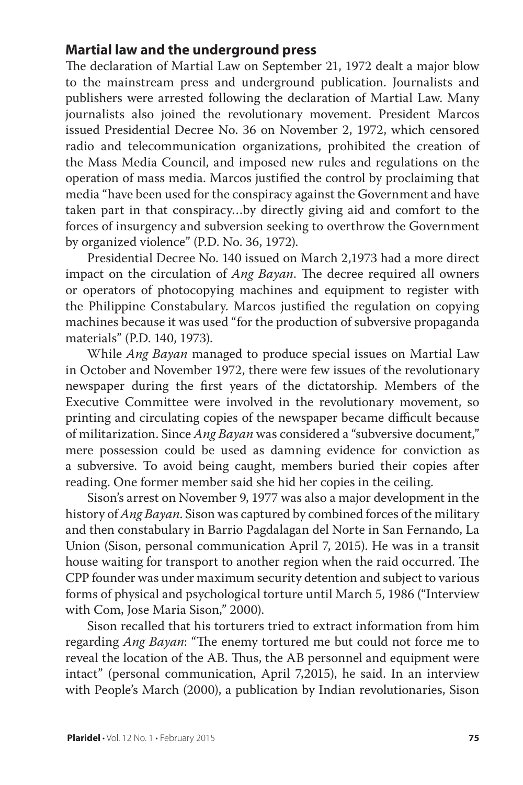## **Martial law and the underground press**

The declaration of Martial Law on September 21, 1972 dealt a major blow to the mainstream press and underground publication. Journalists and publishers were arrested following the declaration of Martial Law. Many journalists also joined the revolutionary movement. President Marcos issued Presidential Decree No. 36 on November 2, 1972, which censored radio and telecommunication organizations, prohibited the creation of the Mass Media Council, and imposed new rules and regulations on the operation of mass media. Marcos justified the control by proclaiming that media "have been used for the conspiracy against the Government and have taken part in that conspiracy…by directly giving aid and comfort to the forces of insurgency and subversion seeking to overthrow the Government by organized violence" (P.D. No. 36, 1972).

Presidential Decree No. 140 issued on March 2,1973 had a more direct impact on the circulation of *Ang Bayan*. The decree required all owners or operators of photocopying machines and equipment to register with the Philippine Constabulary. Marcos justified the regulation on copying machines because it was used "for the production of subversive propaganda materials" (P.D. 140, 1973).

While *Ang Bayan* managed to produce special issues on Martial Law in October and November 1972, there were few issues of the revolutionary newspaper during the first years of the dictatorship. Members of the Executive Committee were involved in the revolutionary movement, so printing and circulating copies of the newspaper became difficult because of militarization. Since *Ang Bayan* was considered a "subversive document," mere possession could be used as damning evidence for conviction as a subversive. To avoid being caught, members buried their copies after reading. One former member said she hid her copies in the ceiling.

Sison's arrest on November 9, 1977 was also a major development in the history of *Ang Bayan*. Sison was captured by combined forces of the military and then constabulary in Barrio Pagdalagan del Norte in San Fernando, La Union (Sison, personal communication April 7, 2015). He was in a transit house waiting for transport to another region when the raid occurred. The CPP founder was under maximum security detention and subject to various forms of physical and psychological torture until March 5, 1986 ("Interview with Com, Jose Maria Sison," 2000).

Sison recalled that his torturers tried to extract information from him regarding *Ang Bayan*: "The enemy tortured me but could not force me to reveal the location of the AB. Thus, the AB personnel and equipment were intact" (personal communication, April 7,2015), he said. In an interview with People's March (2000), a publication by Indian revolutionaries, Sison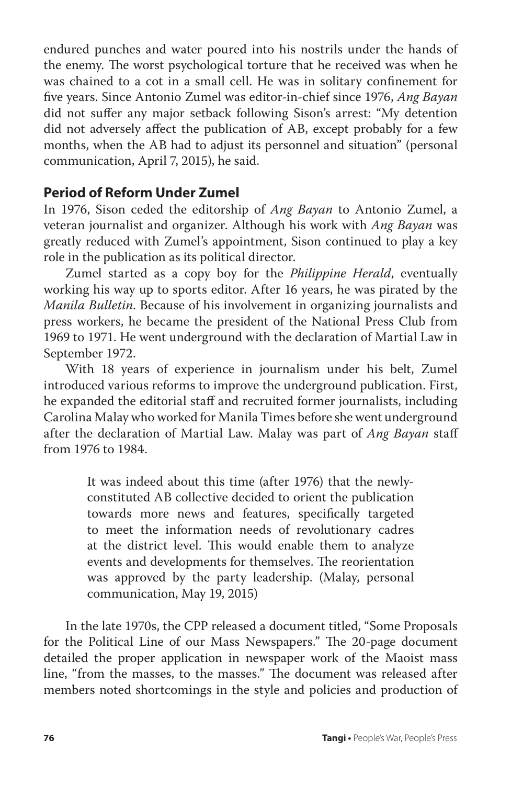endured punches and water poured into his nostrils under the hands of the enemy. The worst psychological torture that he received was when he was chained to a cot in a small cell. He was in solitary confinement for five years. Since Antonio Zumel was editor-in-chief since 1976, *Ang Bayan* did not suffer any major setback following Sison's arrest: "My detention did not adversely affect the publication of AB, except probably for a few months, when the AB had to adjust its personnel and situation" (personal communication, April 7, 2015), he said.

#### **Period of Reform Under Zumel**

In 1976, Sison ceded the editorship of *Ang Bayan* to Antonio Zumel, a veteran journalist and organizer. Although his work with *Ang Bayan* was greatly reduced with Zumel's appointment, Sison continued to play a key role in the publication as its political director.

Zumel started as a copy boy for the *Philippine Herald*, eventually working his way up to sports editor. After 16 years, he was pirated by the *Manila Bulletin*. Because of his involvement in organizing journalists and press workers, he became the president of the National Press Club from 1969 to 1971. He went underground with the declaration of Martial Law in September 1972.

With 18 years of experience in journalism under his belt, Zumel introduced various reforms to improve the underground publication. First, he expanded the editorial staff and recruited former journalists, including Carolina Malay who worked for Manila Times before she went underground after the declaration of Martial Law. Malay was part of *Ang Bayan* staff from 1976 to 1984.

> It was indeed about this time (after 1976) that the newlyconstituted AB collective decided to orient the publication towards more news and features, specifically targeted to meet the information needs of revolutionary cadres at the district level. This would enable them to analyze events and developments for themselves. The reorientation was approved by the party leadership. (Malay, personal communication, May 19, 2015)

In the late 1970s, the CPP released a document titled, "Some Proposals for the Political Line of our Mass Newspapers." The 20-page document detailed the proper application in newspaper work of the Maoist mass line, "from the masses, to the masses." The document was released after members noted shortcomings in the style and policies and production of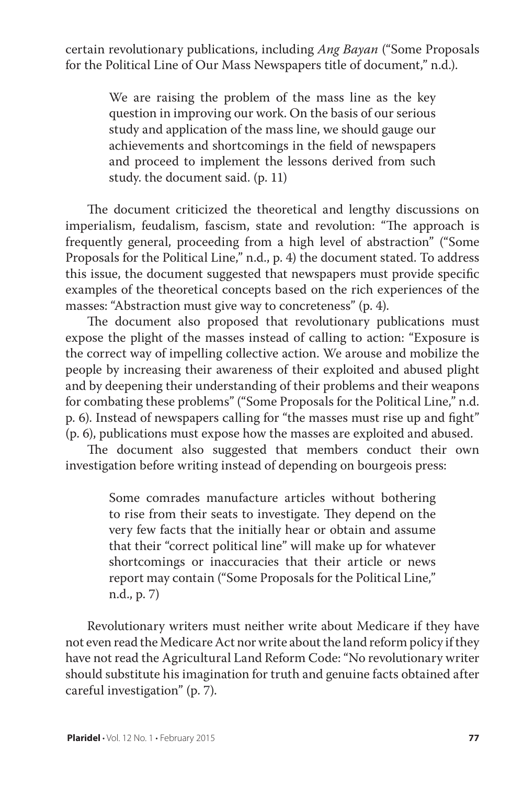certain revolutionary publications, including *Ang Bayan* ("Some Proposals for the Political Line of Our Mass Newspapers title of document," n.d.).

> We are raising the problem of the mass line as the key question in improving our work. On the basis of our serious study and application of the mass line, we should gauge our achievements and shortcomings in the field of newspapers and proceed to implement the lessons derived from such study. the document said. (p. 11)

The document criticized the theoretical and lengthy discussions on imperialism, feudalism, fascism, state and revolution: "The approach is frequently general, proceeding from a high level of abstraction" ("Some Proposals for the Political Line," n.d., p. 4) the document stated. To address this issue, the document suggested that newspapers must provide specific examples of the theoretical concepts based on the rich experiences of the masses: "Abstraction must give way to concreteness" (p. 4).

The document also proposed that revolutionary publications must expose the plight of the masses instead of calling to action: "Exposure is the correct way of impelling collective action. We arouse and mobilize the people by increasing their awareness of their exploited and abused plight and by deepening their understanding of their problems and their weapons for combating these problems" ("Some Proposals for the Political Line," n.d. p. 6). Instead of newspapers calling for "the masses must rise up and fight" (p. 6), publications must expose how the masses are exploited and abused.

The document also suggested that members conduct their own investigation before writing instead of depending on bourgeois press:

> Some comrades manufacture articles without bothering to rise from their seats to investigate. They depend on the very few facts that the initially hear or obtain and assume that their "correct political line" will make up for whatever shortcomings or inaccuracies that their article or news report may contain ("Some Proposals for the Political Line," n.d., p. 7)

Revolutionary writers must neither write about Medicare if they have not even read the Medicare Act nor write about the land reform policy if they have not read the Agricultural Land Reform Code: "No revolutionary writer should substitute his imagination for truth and genuine facts obtained after careful investigation" (p. 7).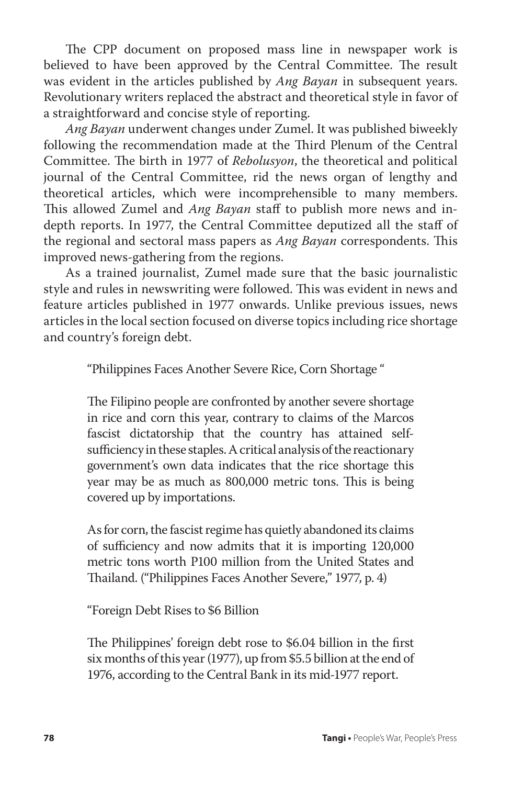The CPP document on proposed mass line in newspaper work is believed to have been approved by the Central Committee. The result was evident in the articles published by *Ang Bayan* in subsequent years. Revolutionary writers replaced the abstract and theoretical style in favor of a straightforward and concise style of reporting.

*Ang Bayan* underwent changes under Zumel. It was published biweekly following the recommendation made at the Third Plenum of the Central Committee. The birth in 1977 of *Rebolusyon*, the theoretical and political journal of the Central Committee, rid the news organ of lengthy and theoretical articles, which were incomprehensible to many members. This allowed Zumel and *Ang Bayan* staff to publish more news and indepth reports. In 1977, the Central Committee deputized all the staff of the regional and sectoral mass papers as *Ang Bayan* correspondents. This improved news-gathering from the regions.

As a trained journalist, Zumel made sure that the basic journalistic style and rules in newswriting were followed. This was evident in news and feature articles published in 1977 onwards. Unlike previous issues, news articles in the local section focused on diverse topics including rice shortage and country's foreign debt.

"Philippines Faces Another Severe Rice, Corn Shortage "

The Filipino people are confronted by another severe shortage in rice and corn this year, contrary to claims of the Marcos fascist dictatorship that the country has attained selfsufficiency in these staples. A critical analysis of the reactionary government's own data indicates that the rice shortage this year may be as much as 800,000 metric tons. This is being covered up by importations.

As for corn, the fascist regime has quietly abandoned its claims of sufficiency and now admits that it is importing 120,000 metric tons worth P100 million from the United States and Thailand. ("Philippines Faces Another Severe," 1977, p. 4)

"Foreign Debt Rises to \$6 Billion

The Philippines' foreign debt rose to \$6.04 billion in the first six months of this year (1977), up from \$5.5 billion at the end of 1976, according to the Central Bank in its mid-1977 report.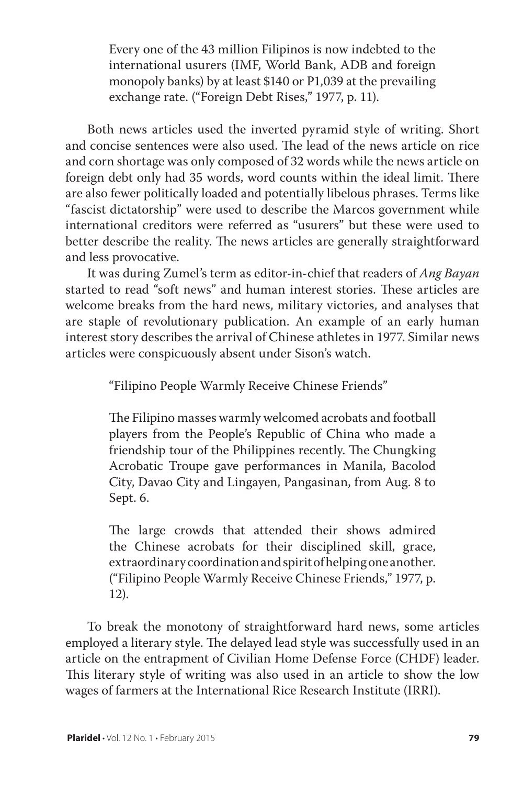Every one of the 43 million Filipinos is now indebted to the international usurers (IMF, World Bank, ADB and foreign monopoly banks) by at least \$140 or P1,039 at the prevailing exchange rate. ("Foreign Debt Rises," 1977, p. 11).

Both news articles used the inverted pyramid style of writing. Short and concise sentences were also used. The lead of the news article on rice and corn shortage was only composed of 32 words while the news article on foreign debt only had 35 words, word counts within the ideal limit. There are also fewer politically loaded and potentially libelous phrases. Terms like "fascist dictatorship" were used to describe the Marcos government while international creditors were referred as "usurers" but these were used to better describe the reality. The news articles are generally straightforward and less provocative.

It was during Zumel's term as editor-in-chief that readers of *Ang Bayan* started to read "soft news" and human interest stories. These articles are welcome breaks from the hard news, military victories, and analyses that are staple of revolutionary publication. An example of an early human interest story describes the arrival of Chinese athletes in 1977. Similar news articles were conspicuously absent under Sison's watch.

"Filipino People Warmly Receive Chinese Friends"

The Filipino masses warmly welcomed acrobats and football players from the People's Republic of China who made a friendship tour of the Philippines recently. The Chungking Acrobatic Troupe gave performances in Manila, Bacolod City, Davao City and Lingayen, Pangasinan, from Aug. 8 to Sept. 6.

The large crowds that attended their shows admired the Chinese acrobats for their disciplined skill, grace, extraordinary coordination and spirit of helping one another. ("Filipino People Warmly Receive Chinese Friends," 1977, p. 12).

To break the monotony of straightforward hard news, some articles employed a literary style. The delayed lead style was successfully used in an article on the entrapment of Civilian Home Defense Force (CHDF) leader. This literary style of writing was also used in an article to show the low wages of farmers at the International Rice Research Institute (IRRI).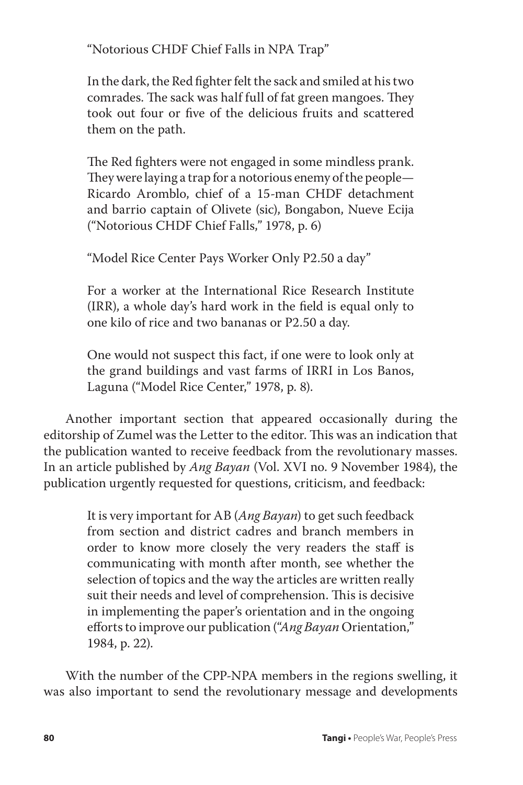"Notorious CHDF Chief Falls in NPA Trap"

In the dark, the Red fighter felt the sack and smiled at his two comrades. The sack was half full of fat green mangoes. They took out four or five of the delicious fruits and scattered them on the path.

The Red fighters were not engaged in some mindless prank. They were laying a trap for a notorious enemy of the people— Ricardo Aromblo, chief of a 15-man CHDF detachment and barrio captain of Olivete (sic), Bongabon, Nueve Ecija ("Notorious CHDF Chief Falls," 1978, p. 6)

"Model Rice Center Pays Worker Only P2.50 a day"

For a worker at the International Rice Research Institute (IRR), a whole day's hard work in the field is equal only to one kilo of rice and two bananas or P2.50 a day.

One would not suspect this fact, if one were to look only at the grand buildings and vast farms of IRRI in Los Banos, Laguna ("Model Rice Center," 1978, p. 8).

Another important section that appeared occasionally during the editorship of Zumel was the Letter to the editor. This was an indication that the publication wanted to receive feedback from the revolutionary masses. In an article published by *Ang Bayan* (Vol. XVI no. 9 November 1984), the publication urgently requested for questions, criticism, and feedback:

> It is very important for AB (*Ang Bayan*) to get such feedback from section and district cadres and branch members in order to know more closely the very readers the staff is communicating with month after month, see whether the selection of topics and the way the articles are written really suit their needs and level of comprehension. This is decisive in implementing the paper's orientation and in the ongoing efforts to improve our publication ("*Ang Bayan* Orientation," 1984, p. 22).

With the number of the CPP-NPA members in the regions swelling, it was also important to send the revolutionary message and developments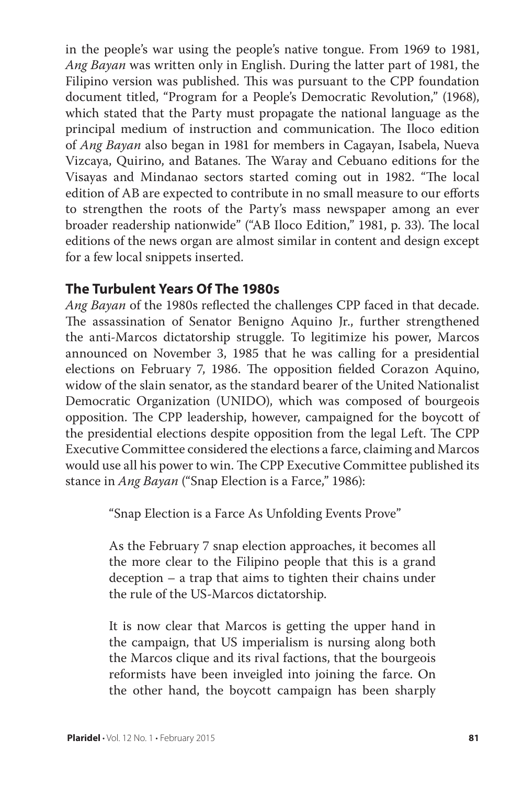in the people's war using the people's native tongue. From 1969 to 1981, *Ang Bayan* was written only in English. During the latter part of 1981, the Filipino version was published. This was pursuant to the CPP foundation document titled, "Program for a People's Democratic Revolution," (1968), which stated that the Party must propagate the national language as the principal medium of instruction and communication. The Iloco edition of *Ang Bayan* also began in 1981 for members in Cagayan, Isabela, Nueva Vizcaya, Quirino, and Batanes. The Waray and Cebuano editions for the Visayas and Mindanao sectors started coming out in 1982. "The local edition of AB are expected to contribute in no small measure to our efforts to strengthen the roots of the Party's mass newspaper among an ever broader readership nationwide" ("AB Iloco Edition," 1981, p. 33). The local editions of the news organ are almost similar in content and design except for a few local snippets inserted.

## **The Turbulent Years Of The 1980s**

*Ang Bayan* of the 1980s reflected the challenges CPP faced in that decade. The assassination of Senator Benigno Aquino Jr., further strengthened the anti-Marcos dictatorship struggle. To legitimize his power, Marcos announced on November 3, 1985 that he was calling for a presidential elections on February 7, 1986. The opposition fielded Corazon Aquino, widow of the slain senator, as the standard bearer of the United Nationalist Democratic Organization (UNIDO), which was composed of bourgeois opposition. The CPP leadership, however, campaigned for the boycott of the presidential elections despite opposition from the legal Left. The CPP Executive Committee considered the elections a farce, claiming and Marcos would use all his power to win. The CPP Executive Committee published its stance in *Ang Bayan* ("Snap Election is a Farce," 1986):

"Snap Election is a Farce As Unfolding Events Prove"

As the February 7 snap election approaches, it becomes all the more clear to the Filipino people that this is a grand deception – a trap that aims to tighten their chains under the rule of the US-Marcos dictatorship.

It is now clear that Marcos is getting the upper hand in the campaign, that US imperialism is nursing along both the Marcos clique and its rival factions, that the bourgeois reformists have been inveigled into joining the farce. On the other hand, the boycott campaign has been sharply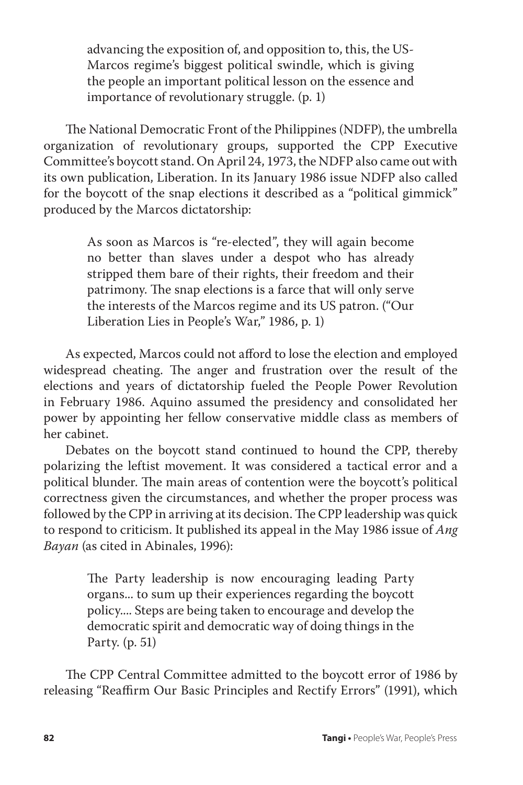advancing the exposition of, and opposition to, this, the US-Marcos regime's biggest political swindle, which is giving the people an important political lesson on the essence and importance of revolutionary struggle. (p. 1)

The National Democratic Front of the Philippines (NDFP), the umbrella organization of revolutionary groups, supported the CPP Executive Committee's boycott stand. On April 24, 1973, the NDFP also came out with its own publication, Liberation. In its January 1986 issue NDFP also called for the boycott of the snap elections it described as a "political gimmick" produced by the Marcos dictatorship:

> As soon as Marcos is "re-elected", they will again become no better than slaves under a despot who has already stripped them bare of their rights, their freedom and their patrimony. The snap elections is a farce that will only serve the interests of the Marcos regime and its US patron. ("Our Liberation Lies in People's War," 1986, p. 1)

As expected, Marcos could not afford to lose the election and employed widespread cheating. The anger and frustration over the result of the elections and years of dictatorship fueled the People Power Revolution in February 1986. Aquino assumed the presidency and consolidated her power by appointing her fellow conservative middle class as members of her cabinet.

Debates on the boycott stand continued to hound the CPP, thereby polarizing the leftist movement. It was considered a tactical error and a political blunder. The main areas of contention were the boycott's political correctness given the circumstances, and whether the proper process was followed by the CPP in arriving at its decision. The CPP leadership was quick to respond to criticism. It published its appeal in the May 1986 issue of *Ang Bayan* (as cited in Abinales, 1996):

> The Party leadership is now encouraging leading Party organs... to sum up their experiences regarding the boycott policy.... Steps are being taken to encourage and develop the democratic spirit and democratic way of doing things in the Party. (p. 51)

The CPP Central Committee admitted to the boycott error of 1986 by releasing "Reaffirm Our Basic Principles and Rectify Errors" (1991), which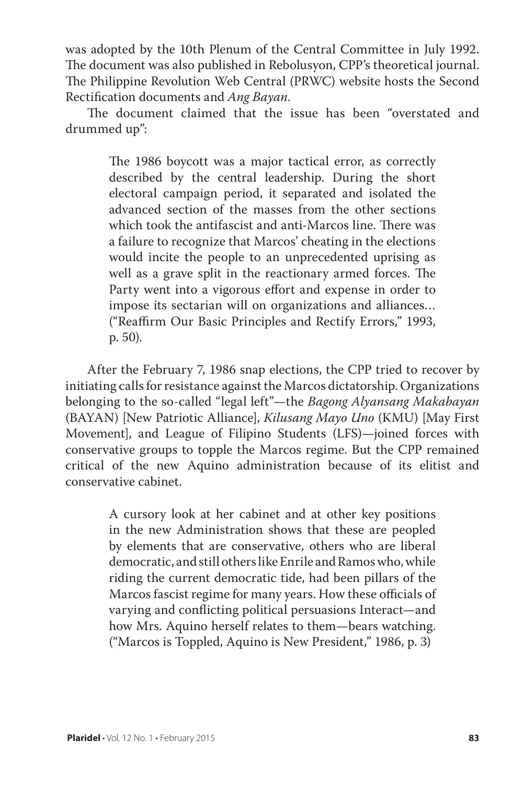was adopted by the 10th Plenum of the Central Committee in July 1992. The document was also published in Rebolusyon, CPP's theoretical journal. The Philippine Revolution Web Central (PRWC) website hosts the Second Rectification documents and *Ang Bayan*.

The document claimed that the issue has been "overstated and drummed up":

> The 1986 boycott was a major tactical error, as correctly described by the central leadership. During the short electoral campaign period, it separated and isolated the advanced section of the masses from the other sections which took the antifascist and anti-Marcos line. There was a failure to recognize that Marcos' cheating in the elections would incite the people to an unprecedented uprising as well as a grave split in the reactionary armed forces. The Party went into a vigorous effort and expense in order to impose its sectarian will on organizations and alliances… ("Reaffirm Our Basic Principles and Rectify Errors," 1993, p. 50).

After the February 7, 1986 snap elections, the CPP tried to recover by initiating calls for resistance against the Marcos dictatorship. Organizations belonging to the so-called "legal left"—the *Bagong Alyansang Makabayan* (BAYAN) [New Patriotic Alliance], *Kilusang Mayo Uno* (KMU) [May First Movement], and League of Filipino Students (LFS)—joined forces with conservative groups to topple the Marcos regime. But the CPP remained critical of the new Aquino administration because of its elitist and conservative cabinet.

> A cursory look at her cabinet and at other key positions in the new Administration shows that these are peopled by elements that are conservative, others who are liberal democratic, and still others like Enrile and Ramos who, while riding the current democratic tide, had been pillars of the Marcos fascist regime for many years. How these officials of varying and conflicting political persuasions Interact—and how Mrs. Aquino herself relates to them—bears watching. ("Marcos is Toppled, Aquino is New President," 1986, p. 3)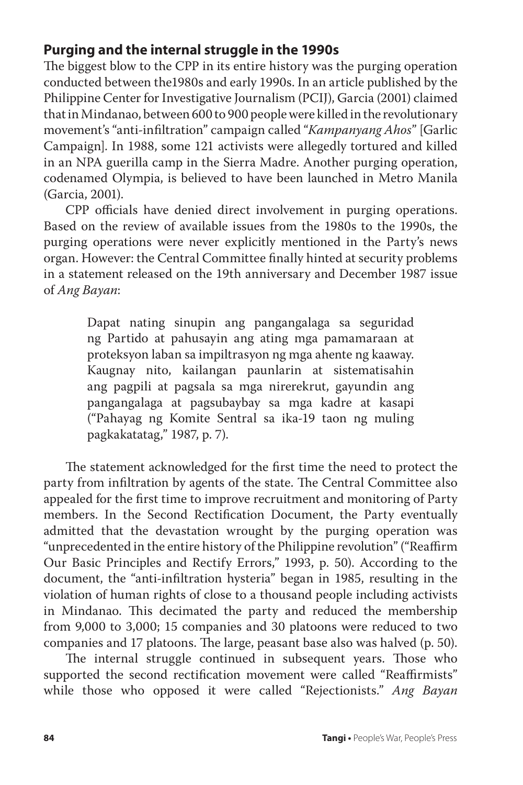## **Purging and the internal struggle in the 1990s**

The biggest blow to the CPP in its entire history was the purging operation conducted between the1980s and early 1990s. In an article published by the Philippine Center for Investigative Journalism (PCIJ), Garcia (2001) claimed that in Mindanao, between 600 to 900 people were killed in the revolutionary movement's "anti-infiltration" campaign called "*Kampanyang Ahos*" [Garlic Campaign]. In 1988, some 121 activists were allegedly tortured and killed in an NPA guerilla camp in the Sierra Madre. Another purging operation, codenamed Olympia, is believed to have been launched in Metro Manila (Garcia, 2001).

CPP officials have denied direct involvement in purging operations. Based on the review of available issues from the 1980s to the 1990s, the purging operations were never explicitly mentioned in the Party's news organ. However: the Central Committee finally hinted at security problems in a statement released on the 19th anniversary and December 1987 issue of *Ang Bayan*:

> Dapat nating sinupin ang pangangalaga sa seguridad ng Partido at pahusayin ang ating mga pamamaraan at proteksyon laban sa impiltrasyon ng mga ahente ng kaaway. Kaugnay nito, kailangan paunlarin at sistematisahin ang pagpili at pagsala sa mga nirerekrut, gayundin ang pangangalaga at pagsubaybay sa mga kadre at kasapi ("Pahayag ng Komite Sentral sa ika-19 taon ng muling pagkakatatag," 1987, p. 7).

The statement acknowledged for the first time the need to protect the party from infiltration by agents of the state. The Central Committee also appealed for the first time to improve recruitment and monitoring of Party members. In the Second Rectification Document, the Party eventually admitted that the devastation wrought by the purging operation was "unprecedented in the entire history of the Philippine revolution" ("Reaffirm Our Basic Principles and Rectify Errors," 1993, p. 50). According to the document, the "anti-infiltration hysteria" began in 1985, resulting in the violation of human rights of close to a thousand people including activists in Mindanao. This decimated the party and reduced the membership from 9,000 to 3,000; 15 companies and 30 platoons were reduced to two companies and 17 platoons. The large, peasant base also was halved (p. 50).

The internal struggle continued in subsequent years. Those who supported the second rectification movement were called "Reaffirmists" while those who opposed it were called "Rejectionists." *Ang Bayan*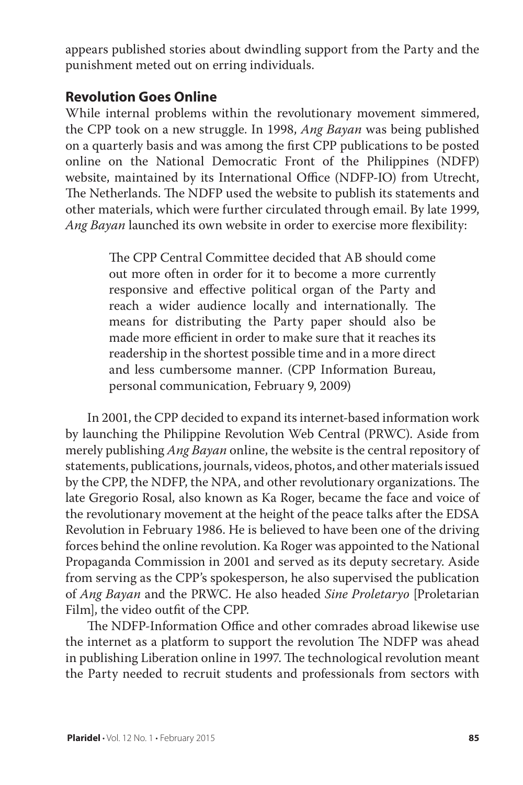appears published stories about dwindling support from the Party and the punishment meted out on erring individuals.

#### **Revolution Goes Online**

While internal problems within the revolutionary movement simmered, the CPP took on a new struggle. In 1998, *Ang Bayan* was being published on a quarterly basis and was among the first CPP publications to be posted online on the National Democratic Front of the Philippines (NDFP) website, maintained by its International Office (NDFP-IO) from Utrecht, The Netherlands. The NDFP used the website to publish its statements and other materials, which were further circulated through email. By late 1999, *Ang Bayan* launched its own website in order to exercise more flexibility:

> The CPP Central Committee decided that AB should come out more often in order for it to become a more currently responsive and effective political organ of the Party and reach a wider audience locally and internationally. The means for distributing the Party paper should also be made more efficient in order to make sure that it reaches its readership in the shortest possible time and in a more direct and less cumbersome manner. (CPP Information Bureau, personal communication, February 9, 2009)

In 2001, the CPP decided to expand its internet-based information work by launching the Philippine Revolution Web Central (PRWC). Aside from merely publishing *Ang Bayan* online, the website is the central repository of statements, publications, journals, videos, photos, and other materials issued by the CPP, the NDFP, the NPA, and other revolutionary organizations. The late Gregorio Rosal, also known as Ka Roger, became the face and voice of the revolutionary movement at the height of the peace talks after the EDSA Revolution in February 1986. He is believed to have been one of the driving forces behind the online revolution. Ka Roger was appointed to the National Propaganda Commission in 2001 and served as its deputy secretary. Aside from serving as the CPP's spokesperson, he also supervised the publication of *Ang Bayan* and the PRWC. He also headed *Sine Proletaryo* [Proletarian Film], the video outfit of the CPP.

The NDFP-Information Office and other comrades abroad likewise use the internet as a platform to support the revolution The NDFP was ahead in publishing Liberation online in 1997. The technological revolution meant the Party needed to recruit students and professionals from sectors with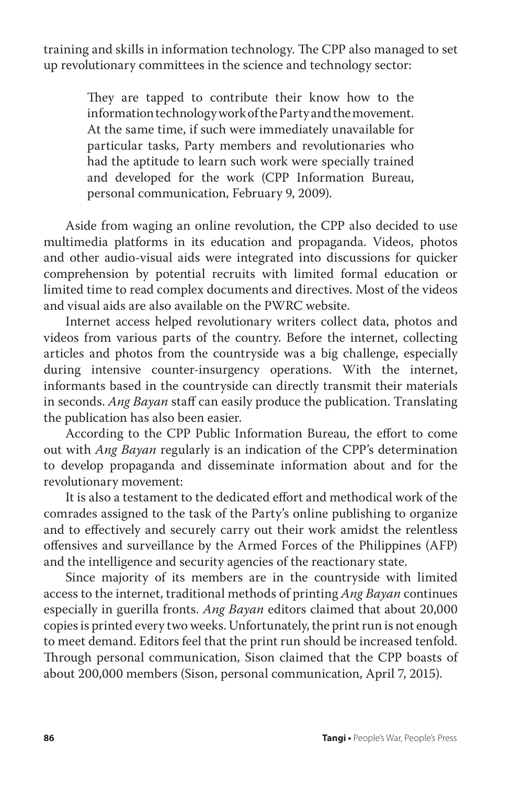training and skills in information technology. The CPP also managed to set up revolutionary committees in the science and technology sector:

> They are tapped to contribute their know how to the information technology work of the Party and the movement. At the same time, if such were immediately unavailable for particular tasks, Party members and revolutionaries who had the aptitude to learn such work were specially trained and developed for the work (CPP Information Bureau, personal communication, February 9, 2009).

Aside from waging an online revolution, the CPP also decided to use multimedia platforms in its education and propaganda. Videos, photos and other audio-visual aids were integrated into discussions for quicker comprehension by potential recruits with limited formal education or limited time to read complex documents and directives. Most of the videos and visual aids are also available on the PWRC website.

Internet access helped revolutionary writers collect data, photos and videos from various parts of the country. Before the internet, collecting articles and photos from the countryside was a big challenge, especially during intensive counter-insurgency operations. With the internet, informants based in the countryside can directly transmit their materials in seconds. *Ang Bayan* staff can easily produce the publication. Translating the publication has also been easier.

According to the CPP Public Information Bureau, the effort to come out with *Ang Bayan* regularly is an indication of the CPP's determination to develop propaganda and disseminate information about and for the revolutionary movement:

It is also a testament to the dedicated effort and methodical work of the comrades assigned to the task of the Party's online publishing to organize and to effectively and securely carry out their work amidst the relentless offensives and surveillance by the Armed Forces of the Philippines (AFP) and the intelligence and security agencies of the reactionary state.

Since majority of its members are in the countryside with limited access to the internet, traditional methods of printing *Ang Bayan* continues especially in guerilla fronts. *Ang Bayan* editors claimed that about 20,000 copies is printed every two weeks. Unfortunately, the print run is not enough to meet demand. Editors feel that the print run should be increased tenfold. Through personal communication, Sison claimed that the CPP boasts of about 200,000 members (Sison, personal communication, April 7, 2015).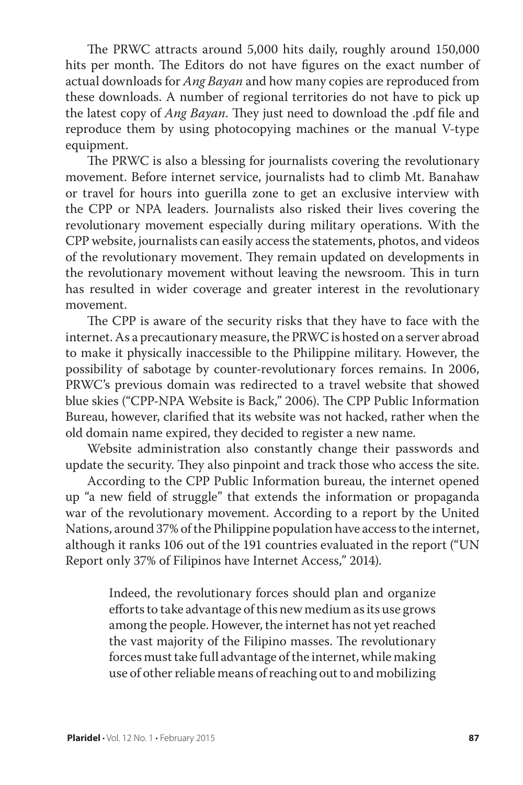The PRWC attracts around 5,000 hits daily, roughly around 150,000 hits per month. The Editors do not have figures on the exact number of actual downloads for *Ang Bayan* and how many copies are reproduced from these downloads. A number of regional territories do not have to pick up the latest copy of *Ang Bayan*. They just need to download the .pdf file and reproduce them by using photocopying machines or the manual V-type equipment.

The PRWC is also a blessing for journalists covering the revolutionary movement. Before internet service, journalists had to climb Mt. Banahaw or travel for hours into guerilla zone to get an exclusive interview with the CPP or NPA leaders. Journalists also risked their lives covering the revolutionary movement especially during military operations. With the CPP website, journalists can easily access the statements, photos, and videos of the revolutionary movement. They remain updated on developments in the revolutionary movement without leaving the newsroom. This in turn has resulted in wider coverage and greater interest in the revolutionary movement.

The CPP is aware of the security risks that they have to face with the internet. As a precautionary measure, the PRWC is hosted on a server abroad to make it physically inaccessible to the Philippine military. However, the possibility of sabotage by counter-revolutionary forces remains. In 2006, PRWC's previous domain was redirected to a travel website that showed blue skies ("CPP-NPA Website is Back," 2006). The CPP Public Information Bureau, however, clarified that its website was not hacked, rather when the old domain name expired, they decided to register a new name.

Website administration also constantly change their passwords and update the security. They also pinpoint and track those who access the site.

According to the CPP Public Information bureau, the internet opened up "a new field of struggle" that extends the information or propaganda war of the revolutionary movement. According to a report by the United Nations, around 37% of the Philippine population have access to the internet, although it ranks 106 out of the 191 countries evaluated in the report ("UN Report only 37% of Filipinos have Internet Access," 2014).

> Indeed, the revolutionary forces should plan and organize efforts to take advantage of this new medium as its use grows among the people. However, the internet has not yet reached the vast majority of the Filipino masses. The revolutionary forces must take full advantage of the internet, while making use of other reliable means of reaching out to and mobilizing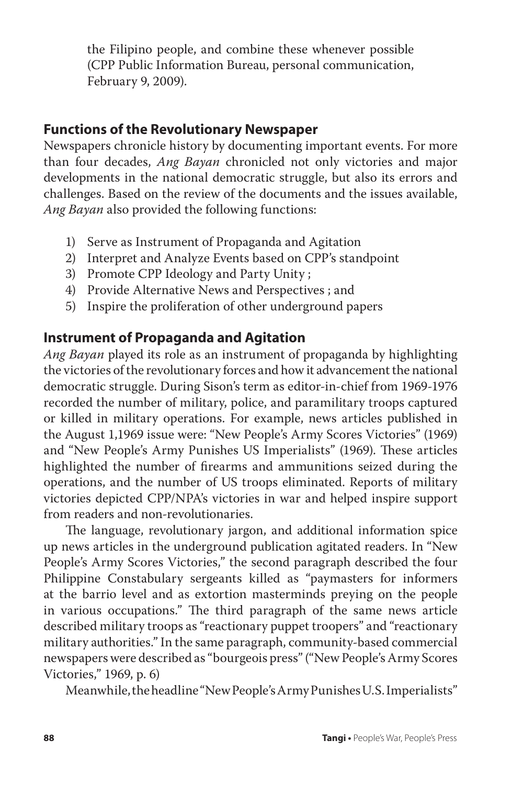the Filipino people, and combine these whenever possible (CPP Public Information Bureau, personal communication, February 9, 2009).

### **Functions of the Revolutionary Newspaper**

Newspapers chronicle history by documenting important events. For more than four decades, *Ang Bayan* chronicled not only victories and major developments in the national democratic struggle, but also its errors and challenges. Based on the review of the documents and the issues available, *Ang Bayan* also provided the following functions:

- 1) Serve as Instrument of Propaganda and Agitation
- 2) Interpret and Analyze Events based on CPP's standpoint
- 3) Promote CPP Ideology and Party Unity ;
- 4) Provide Alternative News and Perspectives ; and
- 5) Inspire the proliferation of other underground papers

## **Instrument of Propaganda and Agitation**

*Ang Bayan* played its role as an instrument of propaganda by highlighting the victories of the revolutionary forces and how it advancement the national democratic struggle. During Sison's term as editor-in-chief from 1969-1976 recorded the number of military, police, and paramilitary troops captured or killed in military operations. For example, news articles published in the August 1,1969 issue were: "New People's Army Scores Victories" (1969) and "New People's Army Punishes US Imperialists" (1969). These articles highlighted the number of firearms and ammunitions seized during the operations, and the number of US troops eliminated. Reports of military victories depicted CPP/NPA's victories in war and helped inspire support from readers and non-revolutionaries.

The language, revolutionary jargon, and additional information spice up news articles in the underground publication agitated readers. In "New People's Army Scores Victories," the second paragraph described the four Philippine Constabulary sergeants killed as "paymasters for informers at the barrio level and as extortion masterminds preying on the people in various occupations." The third paragraph of the same news article described military troops as "reactionary puppet troopers" and "reactionary military authorities." In the same paragraph, community-based commercial newspapers were described as "bourgeois press" ("New People's Army Scores Victories," 1969, p. 6)

Meanwhile, the headline "New People's Army Punishes U.S. Imperialists"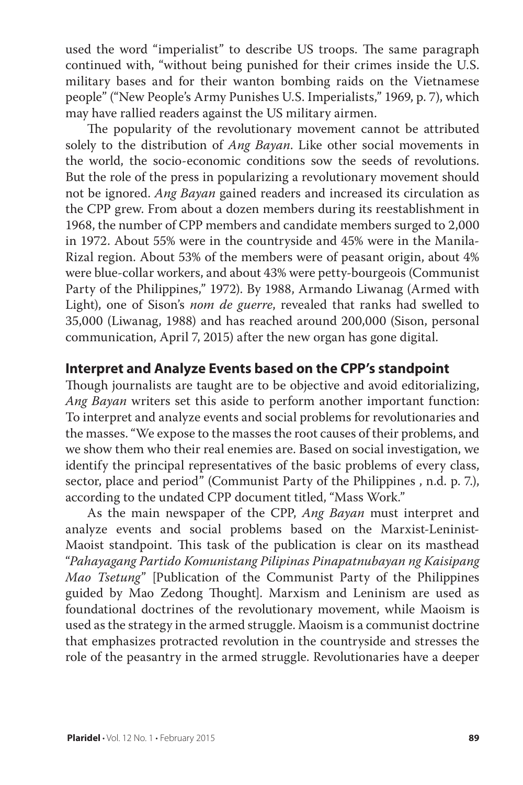used the word "imperialist" to describe US troops. The same paragraph continued with, "without being punished for their crimes inside the U.S. military bases and for their wanton bombing raids on the Vietnamese people" ("New People's Army Punishes U.S. Imperialists," 1969, p. 7), which may have rallied readers against the US military airmen.

The popularity of the revolutionary movement cannot be attributed solely to the distribution of *Ang Bayan*. Like other social movements in the world, the socio-economic conditions sow the seeds of revolutions. But the role of the press in popularizing a revolutionary movement should not be ignored. *Ang Bayan* gained readers and increased its circulation as the CPP grew. From about a dozen members during its reestablishment in 1968, the number of CPP members and candidate members surged to 2,000 in 1972. About 55% were in the countryside and 45% were in the Manila-Rizal region. About 53% of the members were of peasant origin, about 4% were blue-collar workers, and about 43% were petty-bourgeois (Communist Party of the Philippines," 1972). By 1988, Armando Liwanag (Armed with Light), one of Sison's *nom de guerre*, revealed that ranks had swelled to 35,000 (Liwanag, 1988) and has reached around 200,000 (Sison, personal communication, April 7, 2015) after the new organ has gone digital.

#### **Interpret and Analyze Events based on the CPP's standpoint**

Though journalists are taught are to be objective and avoid editorializing, *Ang Bayan* writers set this aside to perform another important function: To interpret and analyze events and social problems for revolutionaries and the masses. "We expose to the masses the root causes of their problems, and we show them who their real enemies are. Based on social investigation, we identify the principal representatives of the basic problems of every class, sector, place and period" (Communist Party of the Philippines , n.d. p. 7.), according to the undated CPP document titled, "Mass Work."

As the main newspaper of the CPP, *Ang Bayan* must interpret and analyze events and social problems based on the Marxist-Leninist-Maoist standpoint. This task of the publication is clear on its masthead "*Pahayagang Partido Komunistang Pilipinas Pinapatnubayan ng Kaisipang Mao Tsetung*" [Publication of the Communist Party of the Philippines guided by Mao Zedong Thought]. Marxism and Leninism are used as foundational doctrines of the revolutionary movement, while Maoism is used as the strategy in the armed struggle. Maoism is a communist doctrine that emphasizes protracted revolution in the countryside and stresses the role of the peasantry in the armed struggle. Revolutionaries have a deeper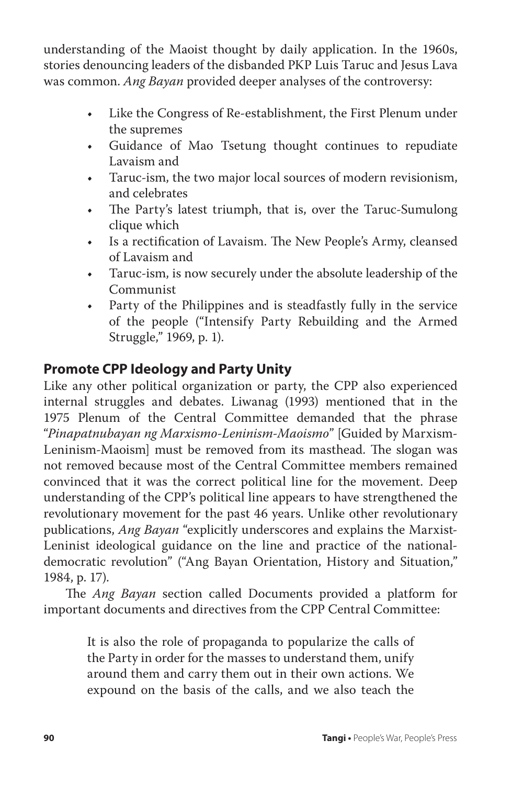understanding of the Maoist thought by daily application. In the 1960s, stories denouncing leaders of the disbanded PKP Luis Taruc and Jesus Lava was common. *Ang Bayan* provided deeper analyses of the controversy:

- • Like the Congress of Re-establishment, the First Plenum under the supremes
- Guidance of Mao Tsetung thought continues to repudiate Lavaism and
- Taruc-ism, the two major local sources of modern revisionism, and celebrates
- The Party's latest triumph, that is, over the Taruc-Sumulong clique which
- • Is a rectification of Lavaism. The New People's Army, cleansed of Lavaism and
- Taruc-ism, is now securely under the absolute leadership of the Communist
- Party of the Philippines and is steadfastly fully in the service of the people ("Intensify Party Rebuilding and the Armed Struggle," 1969, p. 1).

## **Promote CPP Ideology and Party Unity**

Like any other political organization or party, the CPP also experienced internal struggles and debates. Liwanag (1993) mentioned that in the 1975 Plenum of the Central Committee demanded that the phrase "*Pinapatnubayan ng Marxismo-Leninism-Maoismo*" [Guided by Marxism-Leninism-Maoism] must be removed from its masthead. The slogan was not removed because most of the Central Committee members remained convinced that it was the correct political line for the movement. Deep understanding of the CPP's political line appears to have strengthened the revolutionary movement for the past 46 years. Unlike other revolutionary publications, *Ang Bayan* "explicitly underscores and explains the Marxist-Leninist ideological guidance on the line and practice of the nationaldemocratic revolution" ("Ang Bayan Orientation, History and Situation," 1984, p. 17).

The *Ang Bayan* section called Documents provided a platform for important documents and directives from the CPP Central Committee:

> It is also the role of propaganda to popularize the calls of the Party in order for the masses to understand them, unify around them and carry them out in their own actions. We expound on the basis of the calls, and we also teach the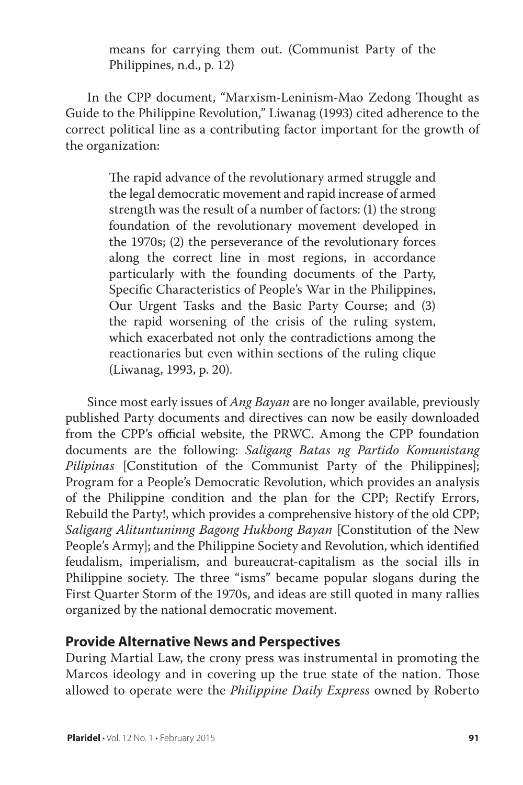means for carrying them out. (Communist Party of the Philippines, n.d., p. 12)

In the CPP document, "Marxism-Leninism-Mao Zedong Thought as Guide to the Philippine Revolution," Liwanag (1993) cited adherence to the correct political line as a contributing factor important for the growth of the organization:

> The rapid advance of the revolutionary armed struggle and the legal democratic movement and rapid increase of armed strength was the result of a number of factors: (1) the strong foundation of the revolutionary movement developed in the 1970s; (2) the perseverance of the revolutionary forces along the correct line in most regions, in accordance particularly with the founding documents of the Party, Specific Characteristics of People's War in the Philippines, Our Urgent Tasks and the Basic Party Course; and (3) the rapid worsening of the crisis of the ruling system, which exacerbated not only the contradictions among the reactionaries but even within sections of the ruling clique (Liwanag, 1993, p. 20).

Since most early issues of *Ang Bayan* are no longer available, previously published Party documents and directives can now be easily downloaded from the CPP's official website, the PRWC. Among the CPP foundation documents are the following: *Saligang Batas ng Partido Komunistang Pilipinas* [Constitution of the Communist Party of the Philippines]; Program for a People's Democratic Revolution, which provides an analysis of the Philippine condition and the plan for the CPP; Rectify Errors, Rebuild the Party!, which provides a comprehensive history of the old CPP; *Saligang Alituntuninng Bagong Hukbong Bayan* [Constitution of the New People's Army]; and the Philippine Society and Revolution, which identified feudalism, imperialism, and bureaucrat-capitalism as the social ills in Philippine society. The three "isms" became popular slogans during the First Quarter Storm of the 1970s, and ideas are still quoted in many rallies organized by the national democratic movement.

#### **Provide Alternative News and Perspectives**

During Martial Law, the crony press was instrumental in promoting the Marcos ideology and in covering up the true state of the nation. Those allowed to operate were the *Philippine Daily Express* owned by Roberto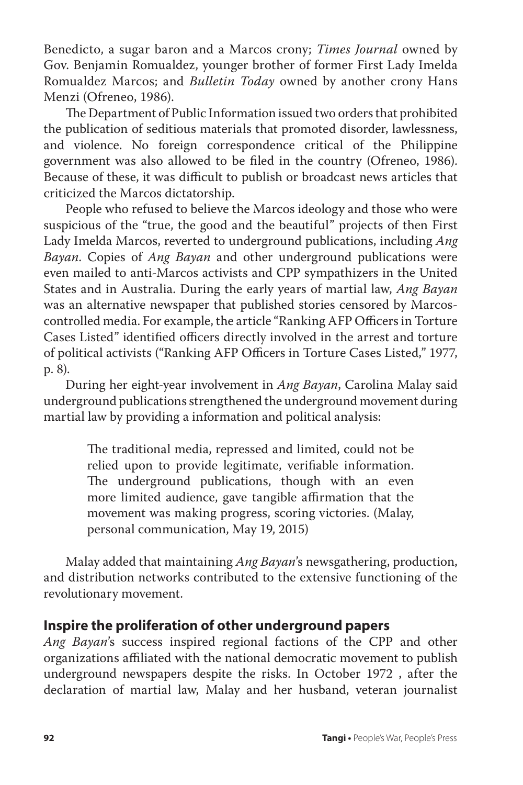Benedicto, a sugar baron and a Marcos crony; *Times Journal* owned by Gov. Benjamin Romualdez, younger brother of former First Lady Imelda Romualdez Marcos; and *Bulletin Today* owned by another crony Hans Menzi (Ofreneo, 1986).

The Department of Public Information issued two orders that prohibited the publication of seditious materials that promoted disorder, lawlessness, and violence. No foreign correspondence critical of the Philippine government was also allowed to be filed in the country (Ofreneo, 1986). Because of these, it was difficult to publish or broadcast news articles that criticized the Marcos dictatorship.

People who refused to believe the Marcos ideology and those who were suspicious of the "true, the good and the beautiful" projects of then First Lady Imelda Marcos, reverted to underground publications, including *Ang Bayan*. Copies of *Ang Bayan* and other underground publications were even mailed to anti-Marcos activists and CPP sympathizers in the United States and in Australia. During the early years of martial law, *Ang Bayan* was an alternative newspaper that published stories censored by Marcoscontrolled media. For example, the article "Ranking AFP Officers in Torture Cases Listed" identified officers directly involved in the arrest and torture of political activists ("Ranking AFP Officers in Torture Cases Listed," 1977, p. 8).

During her eight-year involvement in *Ang Bayan*, Carolina Malay said underground publications strengthened the underground movement during martial law by providing a information and political analysis:

> The traditional media, repressed and limited, could not be relied upon to provide legitimate, verifiable information. The underground publications, though with an even more limited audience, gave tangible affirmation that the movement was making progress, scoring victories. (Malay, personal communication, May 19, 2015)

Malay added that maintaining *Ang Bayan*'s newsgathering, production, and distribution networks contributed to the extensive functioning of the revolutionary movement.

## **Inspire the proliferation of other underground papers**

*Ang Bayan*'s success inspired regional factions of the CPP and other organizations affiliated with the national democratic movement to publish underground newspapers despite the risks. In October 1972 , after the declaration of martial law, Malay and her husband, veteran journalist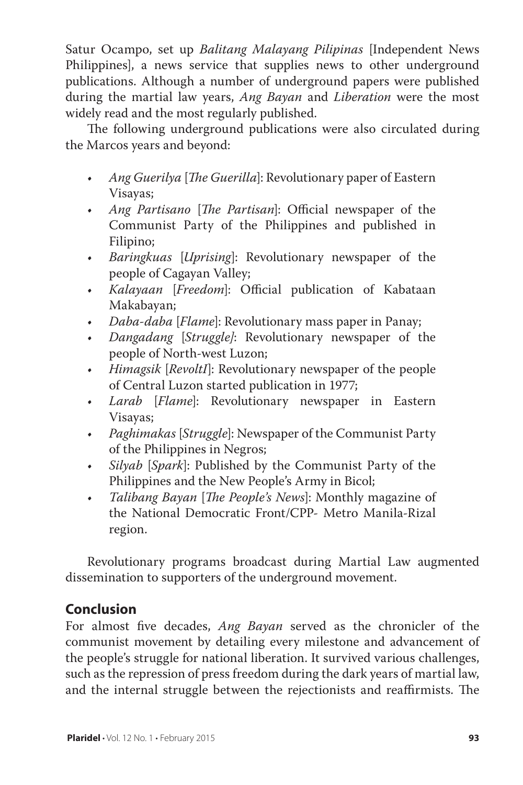Satur Ocampo, set up *Balitang Malayang Pilipinas* [Independent News Philippines], a news service that supplies news to other underground publications. Although a number of underground papers were published during the martial law years, *Ang Bayan* and *Liberation* were the most widely read and the most regularly published.

The following underground publications were also circulated during the Marcos years and beyond:

- *• Ang Guerilya* [*The Guerilla*]: Revolutionary paper of Eastern Visayas;
- *• Ang Partisano* [*The Partisan*]: Official newspaper of the Communist Party of the Philippines and published in Filipino;
- *• Baringkuas* [*Uprising*]: Revolutionary newspaper of the people of Cagayan Valley;
- *• Kalayaan* [*Freedom*]: Official publication of Kabataan Makabayan;
- *• Daba-daba* [*Flame*]: Revolutionary mass paper in Panay;
- *• Dangadang* [*Struggle]*: Revolutionary newspaper of the people of North-west Luzon;
- *• Himagsik* [*RevoltI*]: Revolutionary newspaper of the people of Central Luzon started publication in 1977;
- *• Larab* [*Flame*]: Revolutionary newspaper in Eastern Visayas;
- *• Paghimakas* [*Struggle*]: Newspaper of the Communist Party of the Philippines in Negros;
- *• Silyab* [*Spark*]: Published by the Communist Party of the Philippines and the New People's Army in Bicol;
- *• Talibang Bayan* [*The People's News*]: Monthly magazine of the National Democratic Front/CPP- Metro Manila-Rizal region.

Revolutionary programs broadcast during Martial Law augmented dissemination to supporters of the underground movement.

## **Conclusion**

For almost five decades, *Ang Bayan* served as the chronicler of the communist movement by detailing every milestone and advancement of the people's struggle for national liberation. It survived various challenges, such as the repression of press freedom during the dark years of martial law, and the internal struggle between the rejectionists and reaffirmists. The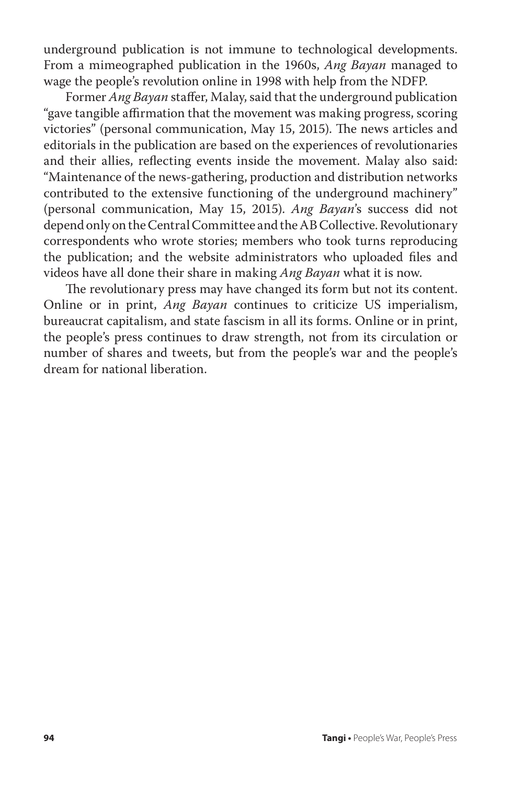underground publication is not immune to technological developments. From a mimeographed publication in the 1960s, *Ang Bayan* managed to wage the people's revolution online in 1998 with help from the NDFP.

Former *Ang Bayan* staffer, Malay, said that the underground publication "gave tangible affirmation that the movement was making progress, scoring victories" (personal communication, May 15, 2015). The news articles and editorials in the publication are based on the experiences of revolutionaries and their allies, reflecting events inside the movement. Malay also said: "Maintenance of the news-gathering, production and distribution networks contributed to the extensive functioning of the underground machinery" (personal communication, May 15, 2015). *Ang Bayan*'s success did not depend only on the Central Committee and the AB Collective. Revolutionary correspondents who wrote stories; members who took turns reproducing the publication; and the website administrators who uploaded files and videos have all done their share in making *Ang Bayan* what it is now.

The revolutionary press may have changed its form but not its content. Online or in print, *Ang Bayan* continues to criticize US imperialism, bureaucrat capitalism, and state fascism in all its forms. Online or in print, the people's press continues to draw strength, not from its circulation or number of shares and tweets, but from the people's war and the people's dream for national liberation.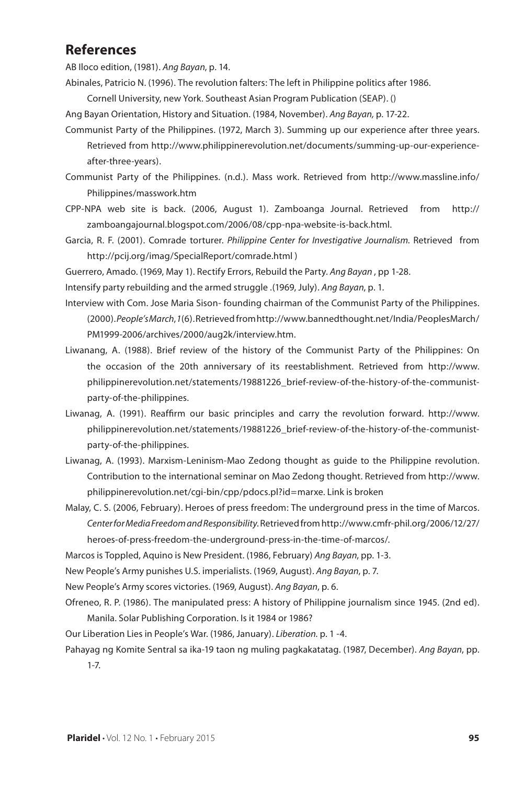#### **References**

AB Iloco edition, (1981). *Ang Bayan*, p. 14.

Abinales, Patricio N. (1996). The revolution falters: The left in Philippine politics after 1986.

Cornell University, new York. Southeast Asian Program Publication (SEAP). ()

Ang Bayan Orientation, History and Situation. (1984, November). *Ang Bayan,* p. 17-22.

- Communist Party of the Philippines. (1972, March 3). Summing up our experience after three years. Retrieved from http://www.philippinerevolution.net/documents/summing-up-our-experienceafter-three-years).
- Communist Party of the Philippines. (n.d.). Mass work. Retrieved from http://www.massline.info/ Philippines/masswork.htm
- CPP-NPA web site is back. (2006, August 1). Zamboanga Journal. Retrieved from http:// zamboangajournal.blogspot.com/2006/08/cpp-npa-website-is-back.html.
- Garcia, R. F. (2001). Comrade torturer. *Philippine Center for Investigative Journalism.* Retrieved from http://pcij.org/imag/SpecialReport/comrade.html )

Guerrero, Amado. (1969, May 1). Rectify Errors, Rebuild the Party. *Ang Bayan* , pp 1-28.

Intensify party rebuilding and the armed struggle .(1969, July). *Ang Bayan*, p. 1.

- Interview with Com. Jose Maria Sison- founding chairman of the Communist Party of the Philippines. (2000). *People's March*, *1*(6). Retrieved from http://www.bannedthought.net/India/PeoplesMarch/ PM1999-2006/archives/2000/aug2k/interview.htm.
- Liwanang, A. (1988). Brief review of the history of the Communist Party of the Philippines: On the occasion of the 20th anniversary of its reestablishment. Retrieved from http://www. philippinerevolution.net/statements/19881226\_brief-review-of-the-history-of-the-communistparty-of-the-philippines.
- Liwanag, A. (1991). Reaffirm our basic principles and carry the revolution forward. http://www. philippinerevolution.net/statements/19881226\_brief-review-of-the-history-of-the-communistparty-of-the-philippines.
- Liwanag, A. (1993). Marxism-Leninism-Mao Zedong thought as guide to the Philippine revolution. Contribution to the international seminar on Mao Zedong thought. Retrieved from http://www. philippinerevolution.net/cgi-bin/cpp/pdocs.pl?id=marxe. Link is broken
- Malay, C. S. (2006, February). Heroes of press freedom: The underground press in the time of Marcos. *Center for Media Freedom and Responsibility*. Retrieved from http://www.cmfr-phil.org/2006/12/27/ heroes-of-press-freedom-the-underground-press-in-the-time-of-marcos/.

Marcos is Toppled, Aquino is New President. (1986, February) *Ang Bayan*, pp. 1-3.

New People's Army punishes U.S. imperialists. (1969, August). *Ang Bayan*, p. 7.

New People's Army scores victories. (1969, August). *Ang Bayan*, p. 6.

Ofreneo, R. P. (1986). The manipulated press: A history of Philippine journalism since 1945. (2nd ed). Manila. Solar Publishing Corporation. Is it 1984 or 1986?

Our Liberation Lies in People's War. (1986, January). *Liberation.* p. 1 -4.

Pahayag ng Komite Sentral sa ika-19 taon ng muling pagkakatatag. (1987, December). *Ang Bayan*, pp. 1-7.